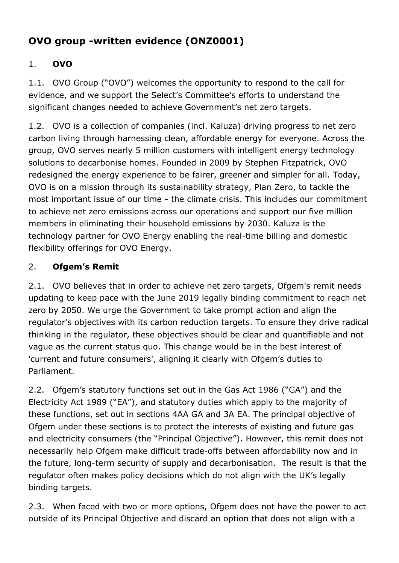# **OVO group -written evidence (ONZ0001)**

# 1. **OVO**

1.1. OVO Group ("OVO") welcomes the opportunity to respond to the call for evidence, and we support the Select's Committee's efforts to understand the significant changes needed to achieve Government's net zero targets.

1.2. OVO is a collection of companies (incl. Kaluza) driving progress to net zero carbon living through harnessing clean, affordable energy for everyone. Across the group, OVO serves nearly 5 million customers with intelligent energy technology solutions to decarbonise homes. Founded in 2009 by Stephen Fitzpatrick, OVO redesigned the energy experience to be fairer, greener and simpler for all. Today, OVO is on a mission through its sustainability strategy, Plan Zero, to tackle the most important issue of our time - the climate crisis. This includes our commitment to achieve net zero emissions across our operations and support our five million members in eliminating their household emissions by 2030. Kaluza is the technology partner for OVO Energy enabling the real-time billing and domestic flexibility offerings for OVO Energy.

### 2. **Ofgem's Remit**

2.1. OVO believes that in order to achieve net zero targets, Ofgem's remit needs updating to keep pace with the June 2019 legally binding commitment to reach net zero by 2050. We urge the Government to take prompt action and align the regulator's objectives with its carbon reduction targets. To ensure they drive radical thinking in the regulator, these objectives should be clear and quantifiable and not vague as the current status quo. This change would be in the best interest of 'current and future consumers', aligning it clearly with Ofgem's duties to Parliament.

2.2. Ofgem's statutory functions set out in the Gas Act 1986 ("GA") and the Electricity Act 1989 ("EA"), and statutory duties which apply to the majority of these functions, set out in sections 4AA GA and 3A EA. The principal objective of Ofgem under these sections is to protect the interests of existing and future gas and electricity consumers (the "Principal Objective"). However, this remit does not necessarily help Ofgem make difficult trade-offs between affordability now and in the future, long-term security of supply and decarbonisation. The result is that the regulator often makes policy decisions which do not align with the UK's legally binding targets.

2.3. When faced with two or more options, Ofgem does not have the power to act outside of its Principal Objective and discard an option that does not align with a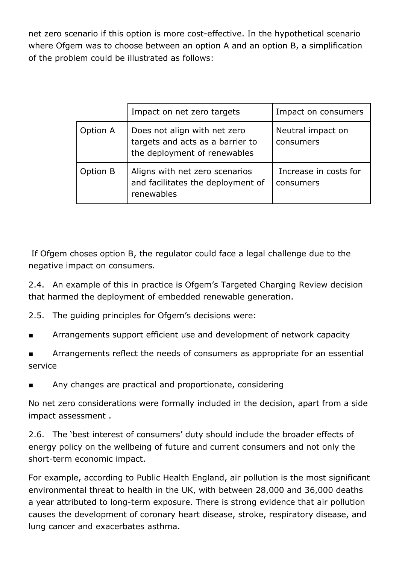net zero scenario if this option is more cost-effective. In the hypothetical scenario where Ofgem was to choose between an option A and an option B, a simplification of the problem could be illustrated as follows:

|          | Impact on net zero targets                                                                       | Impact on consumers                |
|----------|--------------------------------------------------------------------------------------------------|------------------------------------|
| Option A | Does not align with net zero<br>targets and acts as a barrier to<br>the deployment of renewables | Neutral impact on<br>consumers     |
| Option B | Aligns with net zero scenarios<br>and facilitates the deployment of<br>renewables                | Increase in costs for<br>consumers |

If Ofgem choses option B, the regulator could face a legal challenge due to the negative impact on consumers.

2.4. An example of this in practice is Ofgem's Targeted Charging Review decision that harmed the deployment of embedded renewable generation.

2.5. The guiding principles for Ofgem's decisions were:

- Arrangements support efficient use and development of network capacity
- Arrangements reflect the needs of consumers as appropriate for an essential service
- Any changes are practical and proportionate, considering

No net zero considerations were formally included in the decision, apart from a side impact assessment .

2.6. The 'best interest of consumers' duty should include the broader effects of energy policy on the wellbeing of future and current consumers and not only the short-term economic impact.

For example, according to Public Health England, air pollution is the most significant environmental threat to health in the UK, with between 28,000 and 36,000 deaths a year attributed to long-term exposure. There is strong evidence that air pollution causes the development of coronary heart disease, stroke, respiratory disease, and lung cancer and exacerbates asthma.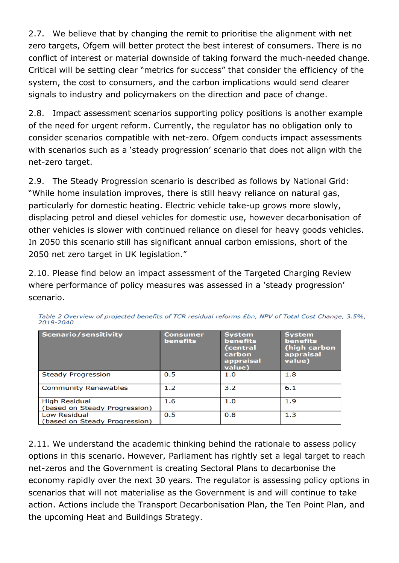2.7. We believe that by changing the remit to prioritise the alignment with net zero targets, Ofgem will better protect the best interest of consumers. There is no conflict of interest or material downside of taking forward the much-needed change. Critical will be setting clear "metrics for success" that consider the efficiency of the system, the cost to consumers, and the carbon implications would send clearer signals to industry and policymakers on the direction and pace of change.

2.8. Impact assessment scenarios supporting policy positions is another example of the need for urgent reform. Currently, the regulator has no obligation only to consider scenarios compatible with net-zero. Ofgem conducts impact assessments with scenarios such as a 'steady progression' scenario that does not align with the net-zero target.

2.9. The Steady Progression scenario is described as follows by National Grid: "While home insulation improves, there is still heavy reliance on natural gas, particularly for domestic heating. Electric vehicle take-up grows more slowly, displacing petrol and diesel vehicles for domestic use, however decarbonisation of other vehicles is slower with continued reliance on diesel for heavy goods vehicles. In 2050 this scenario still has significant annual carbon emissions, short of the 2050 net zero target in UK legislation."

2.10. Please find below an impact assessment of the Targeted Charging Review where performance of policy measures was assessed in a 'steady progression' scenario.

| <b>Scenario/sensitivity</b>                           | Consumer<br><b>benefits</b> | <b>System</b><br><b>benefits</b><br>(central<br>carbon<br>appraisal<br>value) | <b>System</b><br><b>benefits</b><br>(high carbon<br>appraisal<br>value) |
|-------------------------------------------------------|-----------------------------|-------------------------------------------------------------------------------|-------------------------------------------------------------------------|
| <b>Steady Progression</b>                             | 0.5                         | 1.0                                                                           | 1.8                                                                     |
| <b>Community Renewables</b>                           | 1.2                         | 3.2                                                                           | 6.1                                                                     |
| <b>High Residual</b><br>(based on Steady Progression) | 1.6                         | 1.0                                                                           | 1.9                                                                     |
| Low Residual<br>(based on Steady Progression)         | 0.5                         | 0.8                                                                           | 1.3                                                                     |

Table 2 Overview of projected benefits of TCR residual reforms £bn, NPV of Total Cost Change, 3.5%,  $2019 - 2040$ 

2.11. We understand the academic thinking behind the rationale to assess policy options in this scenario. However, Parliament has rightly set a legal target to reach net-zeros and the Government is creating Sectoral Plans to decarbonise the economy rapidly over the next 30 years. The regulator is assessing policy options in scenarios that will not materialise as the Government is and will continue to take action. Actions include the Transport Decarbonisation Plan, the Ten Point Plan, and the upcoming Heat and Buildings Strategy.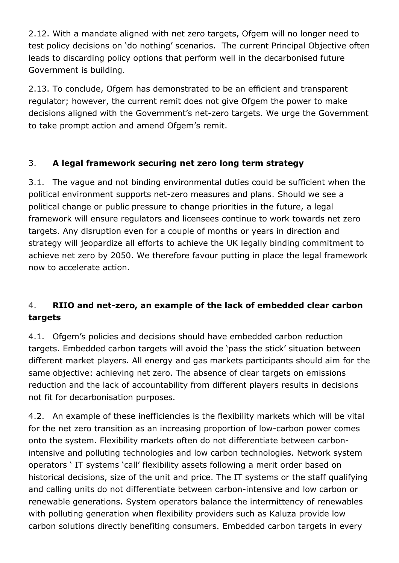2.12. With a mandate aligned with net zero targets, Ofgem will no longer need to test policy decisions on 'do nothing' scenarios. The current Principal Objective often leads to discarding policy options that perform well in the decarbonised future Government is building.

2.13. To conclude, Ofgem has demonstrated to be an efficient and transparent regulator; however, the current remit does not give Ofgem the power to make decisions aligned with the Government's net-zero targets. We urge the Government to take prompt action and amend Ofgem's remit.

### 3. **A legal framework securing net zero long term strategy**

3.1. The vague and not binding environmental duties could be sufficient when the political environment supports net-zero measures and plans. Should we see a political change or public pressure to change priorities in the future, a legal framework will ensure regulators and licensees continue to work towards net zero targets. Any disruption even for a couple of months or years in direction and strategy will jeopardize all efforts to achieve the UK legally binding commitment to achieve net zero by 2050. We therefore favour putting in place the legal framework now to accelerate action.

# 4. **RIIO and net-zero, an example of the lack of embedded clear carbon targets**

4.1. Ofgem's policies and decisions should have embedded carbon reduction targets. Embedded carbon targets will avoid the 'pass the stick' situation between different market players. All energy and gas markets participants should aim for the same objective: achieving net zero. The absence of clear targets on emissions reduction and the lack of accountability from different players results in decisions not fit for decarbonisation purposes.

4.2. An example of these inefficiencies is the flexibility markets which will be vital for the net zero transition as an increasing proportion of low-carbon power comes onto the system. Flexibility markets often do not differentiate between carbonintensive and polluting technologies and low carbon technologies. Network system operators ' IT systems 'call' flexibility assets following a merit order based on historical decisions, size of the unit and price. The IT systems or the staff qualifying and calling units do not differentiate between carbon-intensive and low carbon or renewable generations. System operators balance the intermittency of renewables with polluting generation when flexibility providers such as Kaluza provide low carbon solutions directly benefiting consumers. Embedded carbon targets in every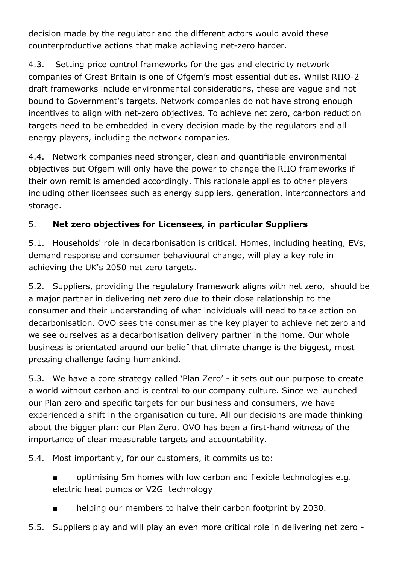decision made by the regulator and the different actors would avoid these counterproductive actions that make achieving net-zero harder.

4.3. Setting price control frameworks for the gas and electricity network companies of Great Britain is one of Ofgem's most essential duties. Whilst RIIO-2 draft frameworks include environmental considerations, these are vague and not bound to Government's targets. Network companies do not have strong enough incentives to align with net-zero objectives. To achieve net zero, carbon reduction targets need to be embedded in every decision made by the regulators and all energy players, including the network companies.

4.4. Network companies need stronger, clean and quantifiable environmental objectives but Ofgem will only have the power to change the RIIO frameworks if their own remit is amended accordingly. This rationale applies to other players including other licensees such as energy suppliers, generation, interconnectors and storage.

### 5. **Net zero objectives for Licensees, in particular Suppliers**

5.1. Households' role in decarbonisation is critical. Homes, including heating, EVs, demand response and consumer behavioural change, will play a key role in achieving the UK's 2050 net zero targets.

5.2. Suppliers, providing the regulatory framework aligns with net zero, should be a major partner in delivering net zero due to their close relationship to the consumer and their understanding of what individuals will need to take action on decarbonisation. OVO sees the consumer as the key player to achieve net zero and we see ourselves as a decarbonisation delivery partner in the home. Our whole business is orientated around our belief that climate change is the biggest, most pressing challenge facing humankind.

5.3. We have a core strategy called 'Plan Zero' - it sets out our purpose to create a world without carbon and is central to our company culture. Since we launched our Plan zero and specific targets for our business and consumers, we have experienced a shift in the organisation culture. All our decisions are made thinking about the bigger plan: our Plan Zero. OVO has been a first-hand witness of the importance of clear measurable targets and accountability.

5.4. Most importantly, for our customers, it commits us to:

- optimising 5m homes with low carbon and flexible technologies e.g. electric heat pumps or V2G technology
- helping our members to halve their carbon footprint by 2030.
- 5.5. Suppliers play and will play an even more critical role in delivering net zero -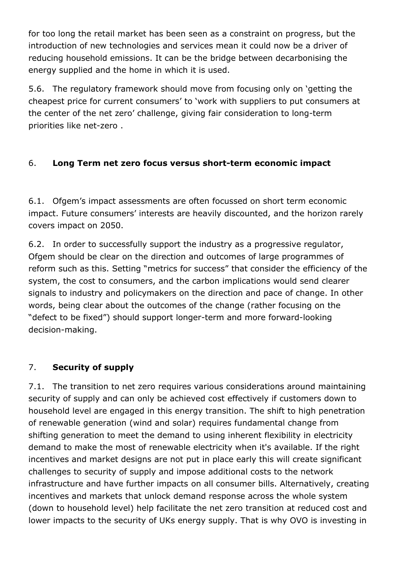for too long the retail market has been seen as a constraint on progress, but the introduction of new technologies and services mean it could now be a driver of reducing household emissions. It can be the bridge between decarbonising the energy supplied and the home in which it is used.

5.6. The regulatory framework should move from focusing only on 'getting the cheapest price for current consumers' to 'work with suppliers to put consumers at the center of the net zero' challenge, giving fair consideration to long-term priorities like net-zero .

#### 6. **Long Term net zero focus versus short-term economic impact**

6.1. Ofgem's impact assessments are often focussed on short term economic impact. Future consumers' interests are heavily discounted, and the horizon rarely covers impact on 2050.

6.2. In order to successfully support the industry as a progressive regulator, Ofgem should be clear on the direction and outcomes of large programmes of reform such as this. Setting "metrics for success" that consider the efficiency of the system, the cost to consumers, and the carbon implications would send clearer signals to industry and policymakers on the direction and pace of change. In other words, being clear about the outcomes of the change (rather focusing on the "defect to be fixed") should support longer-term and more forward-looking decision-making.

#### 7. **Security of supply**

7.1. The transition to net zero requires various considerations around maintaining security of supply and can only be achieved cost effectively if customers down to household level are engaged in this energy transition. The shift to high penetration of renewable generation (wind and solar) requires fundamental change from shifting generation to meet the demand to using inherent flexibility in electricity demand to make the most of renewable electricity when it's available. If the right incentives and market designs are not put in place early this will create significant challenges to security of supply and impose additional costs to the network infrastructure and have further impacts on all consumer bills. Alternatively, creating incentives and markets that unlock demand response across the whole system (down to household level) help facilitate the net zero transition at reduced cost and lower impacts to the security of UKs energy supply. That is why OVO is investing in